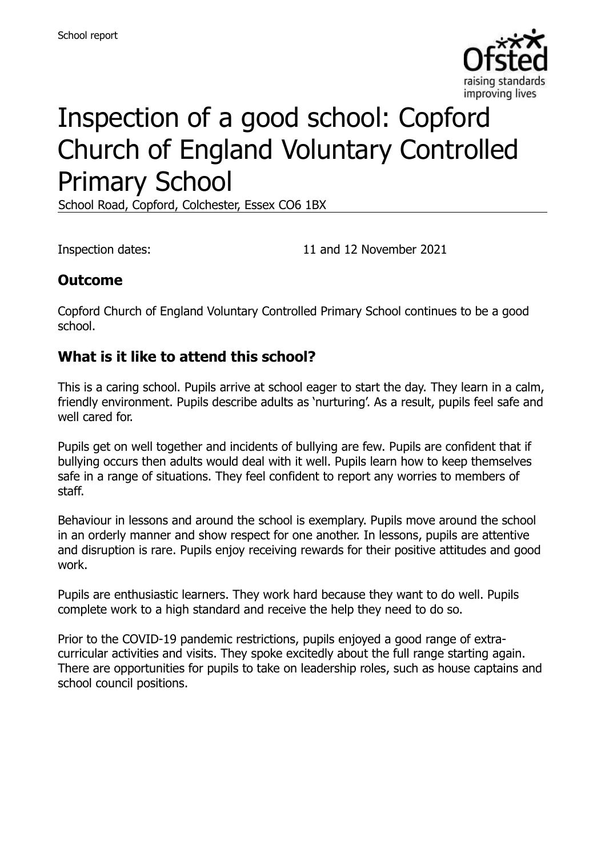

# Inspection of a good school: Copford Church of England Voluntary Controlled Primary School

School Road, Copford, Colchester, Essex CO6 1BX

Inspection dates: 11 and 12 November 2021

### **Outcome**

Copford Church of England Voluntary Controlled Primary School continues to be a good school.

#### **What is it like to attend this school?**

This is a caring school. Pupils arrive at school eager to start the day. They learn in a calm, friendly environment. Pupils describe adults as 'nurturing'. As a result, pupils feel safe and well cared for.

Pupils get on well together and incidents of bullying are few. Pupils are confident that if bullying occurs then adults would deal with it well. Pupils learn how to keep themselves safe in a range of situations. They feel confident to report any worries to members of staff.

Behaviour in lessons and around the school is exemplary. Pupils move around the school in an orderly manner and show respect for one another. In lessons, pupils are attentive and disruption is rare. Pupils enjoy receiving rewards for their positive attitudes and good work.

Pupils are enthusiastic learners. They work hard because they want to do well. Pupils complete work to a high standard and receive the help they need to do so.

Prior to the COVID-19 pandemic restrictions, pupils enjoyed a good range of extracurricular activities and visits. They spoke excitedly about the full range starting again. There are opportunities for pupils to take on leadership roles, such as house captains and school council positions.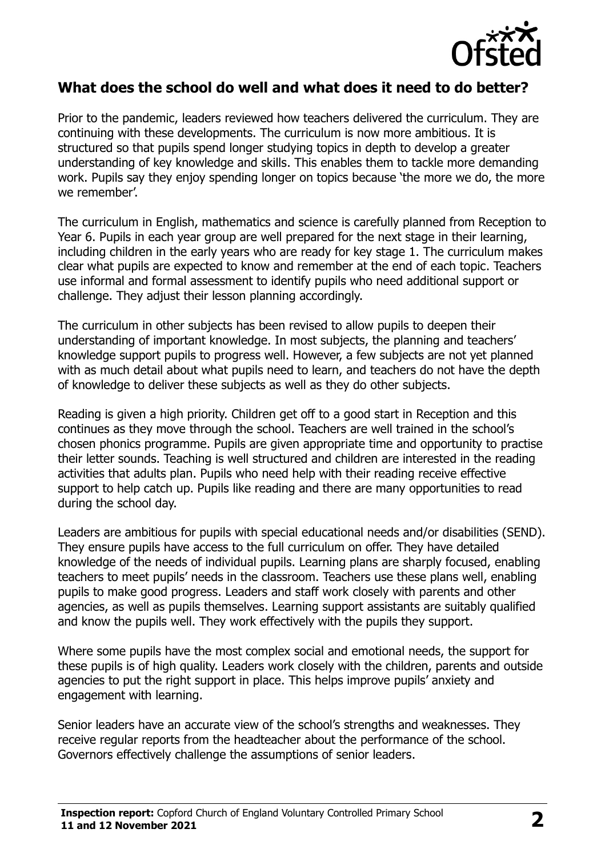

#### **What does the school do well and what does it need to do better?**

Prior to the pandemic, leaders reviewed how teachers delivered the curriculum. They are continuing with these developments. The curriculum is now more ambitious. It is structured so that pupils spend longer studying topics in depth to develop a greater understanding of key knowledge and skills. This enables them to tackle more demanding work. Pupils say they enjoy spending longer on topics because 'the more we do, the more we remember'.

The curriculum in English, mathematics and science is carefully planned from Reception to Year 6. Pupils in each year group are well prepared for the next stage in their learning, including children in the early years who are ready for key stage 1. The curriculum makes clear what pupils are expected to know and remember at the end of each topic. Teachers use informal and formal assessment to identify pupils who need additional support or challenge. They adjust their lesson planning accordingly.

The curriculum in other subjects has been revised to allow pupils to deepen their understanding of important knowledge. In most subjects, the planning and teachers' knowledge support pupils to progress well. However, a few subjects are not yet planned with as much detail about what pupils need to learn, and teachers do not have the depth of knowledge to deliver these subjects as well as they do other subjects.

Reading is given a high priority. Children get off to a good start in Reception and this continues as they move through the school. Teachers are well trained in the school's chosen phonics programme. Pupils are given appropriate time and opportunity to practise their letter sounds. Teaching is well structured and children are interested in the reading activities that adults plan. Pupils who need help with their reading receive effective support to help catch up. Pupils like reading and there are many opportunities to read during the school day.

Leaders are ambitious for pupils with special educational needs and/or disabilities (SEND). They ensure pupils have access to the full curriculum on offer. They have detailed knowledge of the needs of individual pupils. Learning plans are sharply focused, enabling teachers to meet pupils' needs in the classroom. Teachers use these plans well, enabling pupils to make good progress. Leaders and staff work closely with parents and other agencies, as well as pupils themselves. Learning support assistants are suitably qualified and know the pupils well. They work effectively with the pupils they support.

Where some pupils have the most complex social and emotional needs, the support for these pupils is of high quality. Leaders work closely with the children, parents and outside agencies to put the right support in place. This helps improve pupils' anxiety and engagement with learning.

Senior leaders have an accurate view of the school's strengths and weaknesses. They receive regular reports from the headteacher about the performance of the school. Governors effectively challenge the assumptions of senior leaders.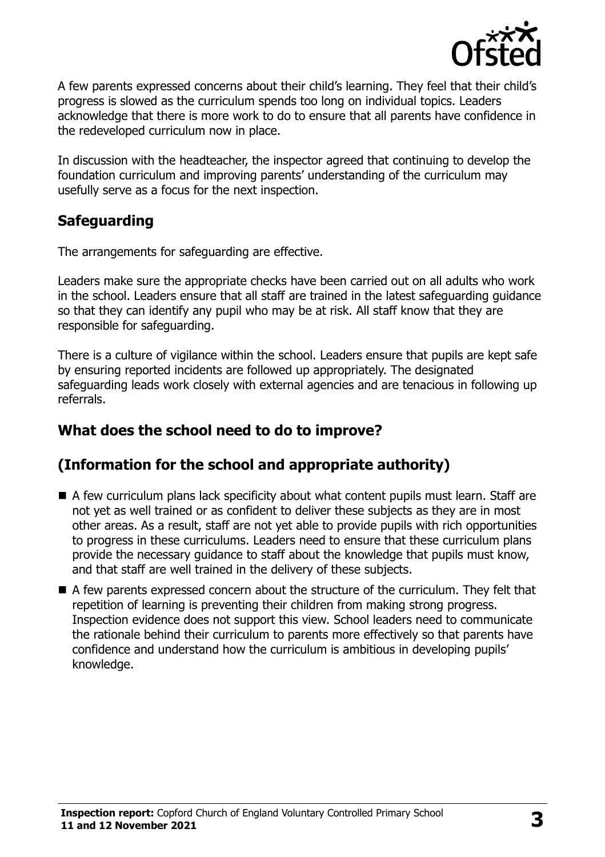

A few parents expressed concerns about their child's learning. They feel that their child's progress is slowed as the curriculum spends too long on individual topics. Leaders acknowledge that there is more work to do to ensure that all parents have confidence in the redeveloped curriculum now in place.

In discussion with the headteacher, the inspector agreed that continuing to develop the foundation curriculum and improving parents' understanding of the curriculum may usefully serve as a focus for the next inspection.

# **Safeguarding**

The arrangements for safeguarding are effective.

Leaders make sure the appropriate checks have been carried out on all adults who work in the school. Leaders ensure that all staff are trained in the latest safeguarding guidance so that they can identify any pupil who may be at risk. All staff know that they are responsible for safeguarding.

There is a culture of vigilance within the school. Leaders ensure that pupils are kept safe by ensuring reported incidents are followed up appropriately. The designated safeguarding leads work closely with external agencies and are tenacious in following up referrals.

# **What does the school need to do to improve?**

# **(Information for the school and appropriate authority)**

- A few curriculum plans lack specificity about what content pupils must learn. Staff are not yet as well trained or as confident to deliver these subjects as they are in most other areas. As a result, staff are not yet able to provide pupils with rich opportunities to progress in these curriculums. Leaders need to ensure that these curriculum plans provide the necessary guidance to staff about the knowledge that pupils must know, and that staff are well trained in the delivery of these subjects.
- A few parents expressed concern about the structure of the curriculum. They felt that repetition of learning is preventing their children from making strong progress. Inspection evidence does not support this view. School leaders need to communicate the rationale behind their curriculum to parents more effectively so that parents have confidence and understand how the curriculum is ambitious in developing pupils' knowledge.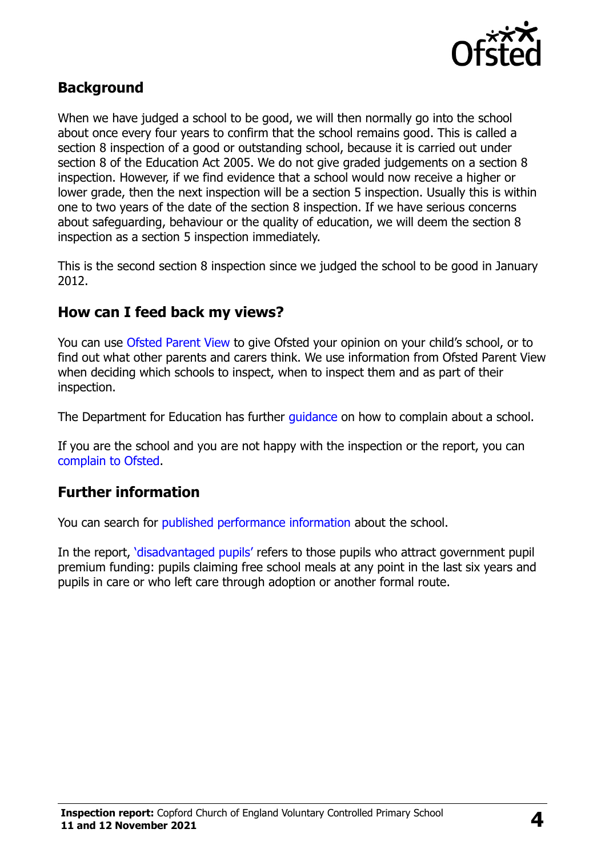

### **Background**

When we have judged a school to be good, we will then normally go into the school about once every four years to confirm that the school remains good. This is called a section 8 inspection of a good or outstanding school, because it is carried out under section 8 of the Education Act 2005. We do not give graded judgements on a section 8 inspection. However, if we find evidence that a school would now receive a higher or lower grade, then the next inspection will be a section 5 inspection. Usually this is within one to two years of the date of the section 8 inspection. If we have serious concerns about safeguarding, behaviour or the quality of education, we will deem the section 8 inspection as a section 5 inspection immediately.

This is the second section 8 inspection since we judged the school to be good in January 2012.

### **How can I feed back my views?**

You can use [Ofsted Parent View](https://parentview.ofsted.gov.uk/) to give Ofsted your opinion on your child's school, or to find out what other parents and carers think. We use information from Ofsted Parent View when deciding which schools to inspect, when to inspect them and as part of their inspection.

The Department for Education has further quidance on how to complain about a school.

If you are the school and you are not happy with the inspection or the report, you can [complain to Ofsted.](https://www.gov.uk/complain-ofsted-report)

### **Further information**

You can search for [published performance information](http://www.compare-school-performance.service.gov.uk/) about the school.

In the report, '[disadvantaged pupils](http://www.gov.uk/guidance/pupil-premium-information-for-schools-and-alternative-provision-settings)' refers to those pupils who attract government pupil premium funding: pupils claiming free school meals at any point in the last six years and pupils in care or who left care through adoption or another formal route.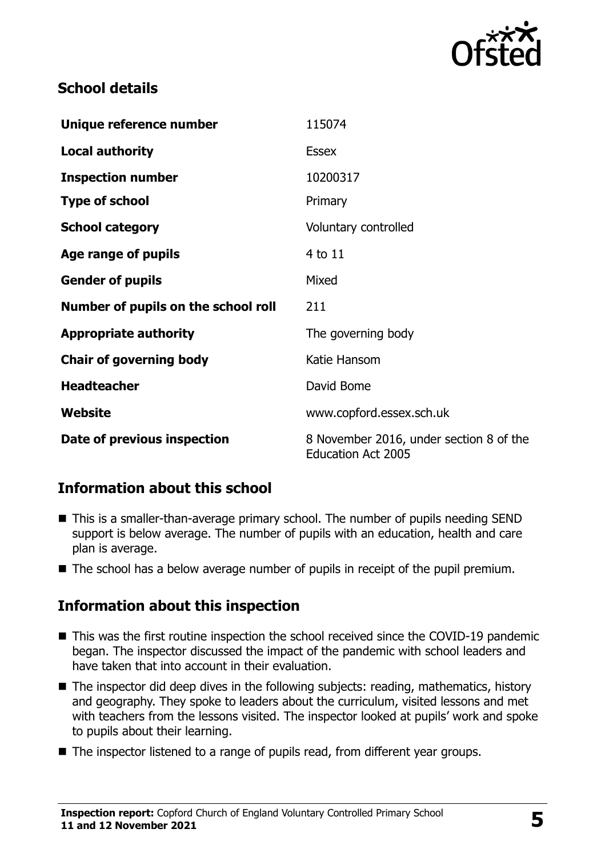

# **School details**

| Unique reference number             | 115074                                                               |
|-------------------------------------|----------------------------------------------------------------------|
| <b>Local authority</b>              | <b>Essex</b>                                                         |
| <b>Inspection number</b>            | 10200317                                                             |
| <b>Type of school</b>               | Primary                                                              |
| <b>School category</b>              | Voluntary controlled                                                 |
| Age range of pupils                 | 4 to 11                                                              |
| <b>Gender of pupils</b>             | Mixed                                                                |
| Number of pupils on the school roll | 211                                                                  |
| <b>Appropriate authority</b>        | The governing body                                                   |
| <b>Chair of governing body</b>      | Katie Hansom                                                         |
| <b>Headteacher</b>                  | David Bome                                                           |
| Website                             | www.copford.essex.sch.uk                                             |
| Date of previous inspection         | 8 November 2016, under section 8 of the<br><b>Education Act 2005</b> |

# **Information about this school**

- This is a smaller-than-average primary school. The number of pupils needing SEND support is below average. The number of pupils with an education, health and care plan is average.
- $\blacksquare$  The school has a below average number of pupils in receipt of the pupil premium.

# **Information about this inspection**

- This was the first routine inspection the school received since the COVID-19 pandemic began. The inspector discussed the impact of the pandemic with school leaders and have taken that into account in their evaluation.
- The inspector did deep dives in the following subjects: reading, mathematics, history and geography. They spoke to leaders about the curriculum, visited lessons and met with teachers from the lessons visited. The inspector looked at pupils' work and spoke to pupils about their learning.
- The inspector listened to a range of pupils read, from different year groups.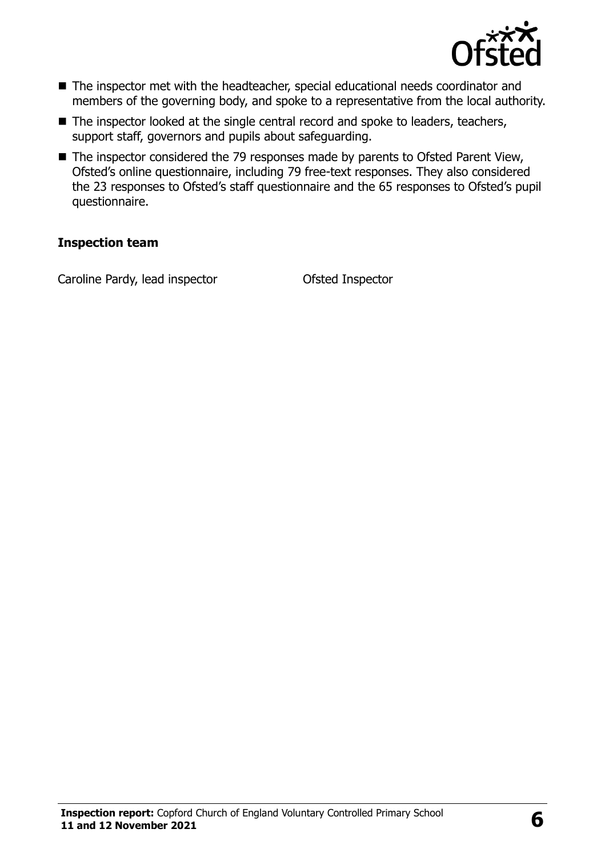

- The inspector met with the headteacher, special educational needs coordinator and members of the governing body, and spoke to a representative from the local authority.
- The inspector looked at the single central record and spoke to leaders, teachers, support staff, governors and pupils about safeguarding.
- The inspector considered the 79 responses made by parents to Ofsted Parent View, Ofsted's online questionnaire, including 79 free-text responses. They also considered the 23 responses to Ofsted's staff questionnaire and the 65 responses to Ofsted's pupil questionnaire.

#### **Inspection team**

Caroline Pardy, lead inspector **Ofsted Inspector**